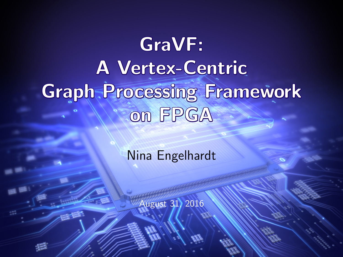# GraVF: A Vertex-Centric Graph Processing Framework on FPGA

#### Nina Engelhardt

August 31, 2016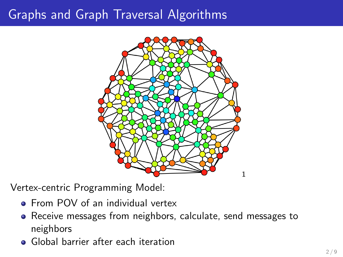#### Graphs and Graph Traversal Algorithms



Vertex-centric Programming Model:

- **•** From POV of an individual vertex
- Receive messages from neighbors, calculate, send messages to neighbors
- **•** Global barrier after each iteration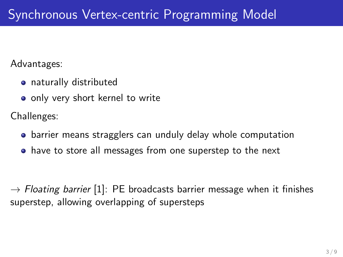Advantages:

- naturally distributed
- only very short kernel to write

Challenges:

- barrier means stragglers can unduly delay whole computation
- have to store all messages from one superstep to the next

 $\rightarrow$  Floating barrier [\[1\]](#page-8-0): PE broadcasts barrier message when it finishes superstep, allowing overlapping of supersteps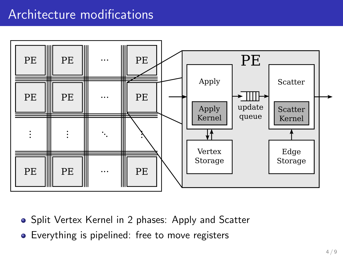#### Architecture modifications



- Split Vertex Kernel in 2 phases: Apply and Scatter
- Everything is pipelined: free to move registers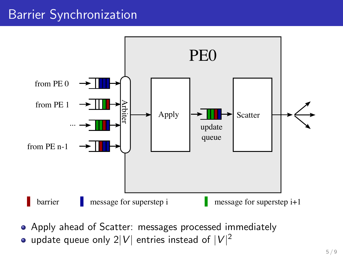### Barrier Synchronization



- Apply ahead of Scatter: messages processed immediately
- update queue only 2 $|V|$  entries instead of  $|V|^2$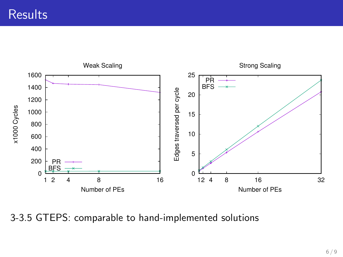**Results** 



3-3.5 GTEPS: comparable to hand-implemented solutions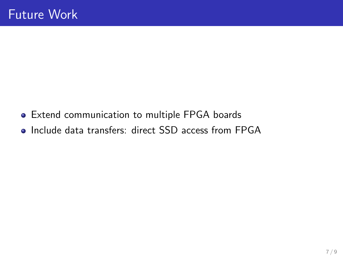- Extend communication to multiple FPGA boards
- Include data transfers: direct SSD access from FPGA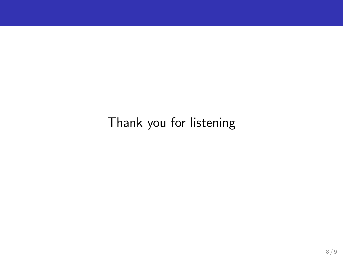## Thank you for listening